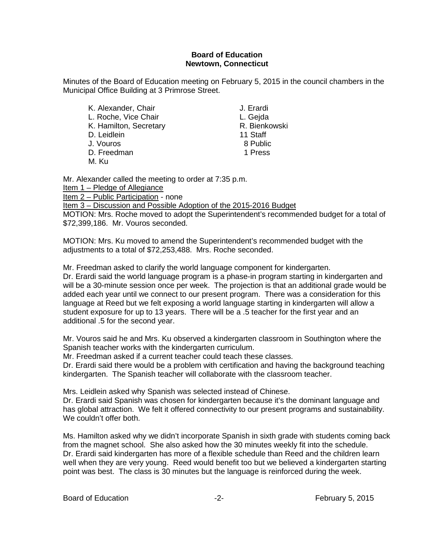## **Board of Education Newtown, Connecticut**

Minutes of the Board of Education meeting on February 5, 2015 in the council chambers in the Municipal Office Building at 3 Primrose Street.

K. Alexander, Chair **J. Erardi** L. Roche, Vice Chair **L. Gegannischer L. Gejda**<br>K. Hamilton. Secretary **L. B. L. Gegannischer R. Bienkowski** E. Roome, Nos Sinam<br>K. Hamilton, Secretary R. Bienkowski<br>D. Leidlein 11 Staff D. Leidlein 11 Staff J. Vouros D. Freedman 1 Press

M. Ku

Mr. Alexander called the meeting to order at 7:35 p.m.

Item 1 – Pledge of Allegiance

Item 2 – Public Participation - none

Item 3 – Discussion and Possible Adoption of the 2015-2016 Budget

MOTION: Mrs. Roche moved to adopt the Superintendent's recommended budget for a total of \$72,399,186. Mr. Vouros seconded.

MOTION: Mrs. Ku moved to amend the Superintendent's recommended budget with the adjustments to a total of \$72,253,488. Mrs. Roche seconded.

Mr. Freedman asked to clarify the world language component for kindergarten.

Dr. Erardi said the world language program is a phase-in program starting in kindergarten and will be a 30-minute session once per week. The projection is that an additional grade would be added each year until we connect to our present program. There was a consideration for this language at Reed but we felt exposing a world language starting in kindergarten will allow a student exposure for up to 13 years. There will be a .5 teacher for the first year and an additional .5 for the second year.

Mr. Vouros said he and Mrs. Ku observed a kindergarten classroom in Southington where the Spanish teacher works with the kindergarten curriculum.

Mr. Freedman asked if a current teacher could teach these classes.

Dr. Erardi said there would be a problem with certification and having the background teaching kindergarten. The Spanish teacher will collaborate with the classroom teacher.

Mrs. Leidlein asked why Spanish was selected instead of Chinese.

Dr. Erardi said Spanish was chosen for kindergarten because it's the dominant language and has global attraction. We felt it offered connectivity to our present programs and sustainability. We couldn't offer both.

Ms. Hamilton asked why we didn't incorporate Spanish in sixth grade with students coming back from the magnet school. She also asked how the 30 minutes weekly fit into the schedule. Dr. Erardi said kindergarten has more of a flexible schedule than Reed and the children learn well when they are very young. Reed would benefit too but we believed a kindergarten starting point was best. The class is 30 minutes but the language is reinforced during the week.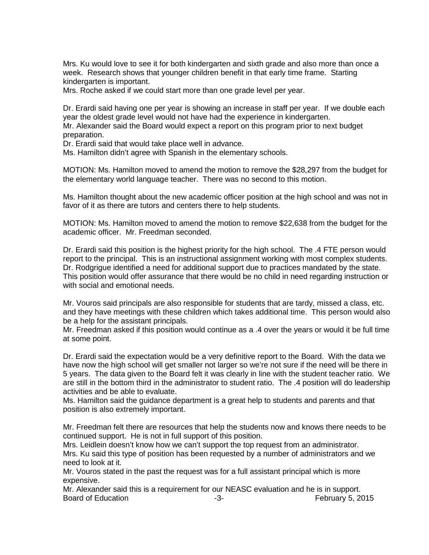Mrs. Ku would love to see it for both kindergarten and sixth grade and also more than once a week. Research shows that younger children benefit in that early time frame. Starting kindergarten is important.

Mrs. Roche asked if we could start more than one grade level per year.

Dr. Erardi said having one per year is showing an increase in staff per year. If we double each year the oldest grade level would not have had the experience in kindergarten.

Mr. Alexander said the Board would expect a report on this program prior to next budget preparation.

Dr. Erardi said that would take place well in advance.

Ms. Hamilton didn't agree with Spanish in the elementary schools.

MOTION: Ms. Hamilton moved to amend the motion to remove the \$28,297 from the budget for the elementary world language teacher. There was no second to this motion.

Ms. Hamilton thought about the new academic officer position at the high school and was not in favor of it as there are tutors and centers there to help students.

MOTION: Ms. Hamilton moved to amend the motion to remove \$22,638 from the budget for the academic officer. Mr. Freedman seconded.

Dr. Erardi said this position is the highest priority for the high school. The .4 FTE person would report to the principal. This is an instructional assignment working with most complex students. Dr. Rodgrigue identified a need for additional support due to practices mandated by the state. This position would offer assurance that there would be no child in need regarding instruction or with social and emotional needs.

Mr. Vouros said principals are also responsible for students that are tardy, missed a class, etc. and they have meetings with these children which takes additional time. This person would also be a help for the assistant principals.

Mr. Freedman asked if this position would continue as a .4 over the years or would it be full time at some point.

Dr. Erardi said the expectation would be a very definitive report to the Board. With the data we have now the high school will get smaller not larger so we're not sure if the need will be there in 5 years. The data given to the Board felt it was clearly in line with the student teacher ratio. We are still in the bottom third in the administrator to student ratio. The .4 position will do leadership activities and be able to evaluate.

Ms. Hamilton said the guidance department is a great help to students and parents and that position is also extremely important.

Mr. Freedman felt there are resources that help the students now and knows there needs to be continued support. He is not in full support of this position.

Mrs. Leidlein doesn't know how we can't support the top request from an administrator. Mrs. Ku said this type of position has been requested by a number of administrators and we need to look at it.

Mr. Vouros stated in the past the request was for a full assistant principal which is more expensive.

Mr. Alexander said this is a requirement for our NEASC evaluation and he is in support. Board of Education **Francisco Contract Contract Contract Contract Contract Contract Contract Contract Contract Contract Contract Contract Contract Contract Contract Contract Contract Contract Contract Contract Contract Con**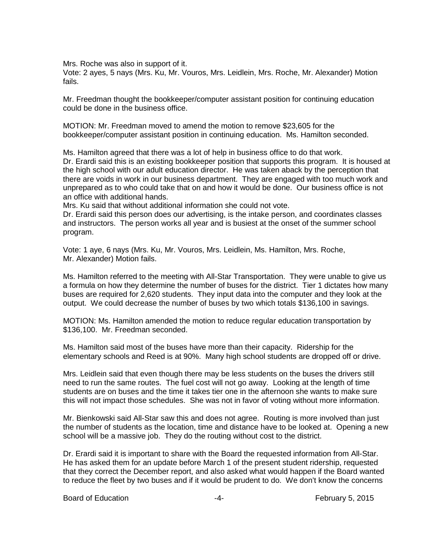Mrs. Roche was also in support of it.

Vote: 2 ayes, 5 nays (Mrs. Ku, Mr. Vouros, Mrs. Leidlein, Mrs. Roche, Mr. Alexander) Motion fails.

Mr. Freedman thought the bookkeeper/computer assistant position for continuing education could be done in the business office.

MOTION: Mr. Freedman moved to amend the motion to remove \$23,605 for the bookkeeper/computer assistant position in continuing education. Ms. Hamilton seconded.

Ms. Hamilton agreed that there was a lot of help in business office to do that work.

Dr. Erardi said this is an existing bookkeeper position that supports this program. It is housed at the high school with our adult education director. He was taken aback by the perception that there are voids in work in our business department. They are engaged with too much work and unprepared as to who could take that on and how it would be done. Our business office is not an office with additional hands.

Mrs. Ku said that without additional information she could not vote.

Dr. Erardi said this person does our advertising, is the intake person, and coordinates classes and instructors. The person works all year and is busiest at the onset of the summer school program.

Vote: 1 aye, 6 nays (Mrs. Ku, Mr. Vouros, Mrs. Leidlein, Ms. Hamilton, Mrs. Roche, Mr. Alexander) Motion fails.

Ms. Hamilton referred to the meeting with All-Star Transportation. They were unable to give us a formula on how they determine the number of buses for the district. Tier 1 dictates how many buses are required for 2,620 students. They input data into the computer and they look at the output. We could decrease the number of buses by two which totals \$136,100 in savings.

MOTION: Ms. Hamilton amended the motion to reduce regular education transportation by \$136,100. Mr. Freedman seconded.

Ms. Hamilton said most of the buses have more than their capacity. Ridership for the elementary schools and Reed is at 90%. Many high school students are dropped off or drive.

Mrs. Leidlein said that even though there may be less students on the buses the drivers still need to run the same routes. The fuel cost will not go away. Looking at the length of time students are on buses and the time it takes tier one in the afternoon she wants to make sure this will not impact those schedules. She was not in favor of voting without more information.

Mr. Bienkowski said All-Star saw this and does not agree. Routing is more involved than just the number of students as the location, time and distance have to be looked at. Opening a new school will be a massive job. They do the routing without cost to the district.

Dr. Erardi said it is important to share with the Board the requested information from All-Star. He has asked them for an update before March 1 of the present student ridership, requested that they correct the December report, and also asked what would happen if the Board wanted to reduce the fleet by two buses and if it would be prudent to do. We don't know the concerns

Board of Education **Francisco Contract Contract Contract Contract Contract Contract Contract Contract Contract Contract Contract Contract Contract Contract Contract Contract Contract Contract Contract Contract Contract Con**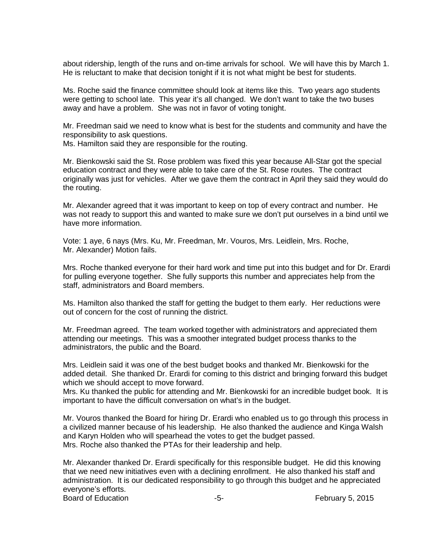about ridership, length of the runs and on-time arrivals for school. We will have this by March 1. He is reluctant to make that decision tonight if it is not what might be best for students.

Ms. Roche said the finance committee should look at items like this. Two years ago students were getting to school late. This year it's all changed. We don't want to take the two buses away and have a problem. She was not in favor of voting tonight.

Mr. Freedman said we need to know what is best for the students and community and have the responsibility to ask questions.

Ms. Hamilton said they are responsible for the routing.

Mr. Bienkowski said the St. Rose problem was fixed this year because All-Star got the special education contract and they were able to take care of the St. Rose routes. The contract originally was just for vehicles. After we gave them the contract in April they said they would do the routing.

Mr. Alexander agreed that it was important to keep on top of every contract and number. He was not ready to support this and wanted to make sure we don't put ourselves in a bind until we have more information.

Vote: 1 aye, 6 nays (Mrs. Ku, Mr. Freedman, Mr. Vouros, Mrs. Leidlein, Mrs. Roche, Mr. Alexander) Motion fails.

Mrs. Roche thanked everyone for their hard work and time put into this budget and for Dr. Erardi for pulling everyone together. She fully supports this number and appreciates help from the staff, administrators and Board members.

Ms. Hamilton also thanked the staff for getting the budget to them early. Her reductions were out of concern for the cost of running the district.

Mr. Freedman agreed. The team worked together with administrators and appreciated them attending our meetings. This was a smoother integrated budget process thanks to the administrators, the public and the Board.

Mrs. Leidlein said it was one of the best budget books and thanked Mr. Bienkowski for the added detail. She thanked Dr. Erardi for coming to this district and bringing forward this budget which we should accept to move forward.

Mrs. Ku thanked the public for attending and Mr. Bienkowski for an incredible budget book. It is important to have the difficult conversation on what's in the budget.

Mr. Vouros thanked the Board for hiring Dr. Erardi who enabled us to go through this process in a civilized manner because of his leadership. He also thanked the audience and Kinga Walsh and Karyn Holden who will spearhead the votes to get the budget passed. Mrs. Roche also thanked the PTAs for their leadership and help.

Mr. Alexander thanked Dr. Erardi specifically for this responsible budget. He did this knowing that we need new initiatives even with a declining enrollment. He also thanked his staff and administration. It is our dedicated responsibility to go through this budget and he appreciated everyone's efforts. Board of Education **Francisco Contract Contract Contract Contract Contract Contract Contract Contract Contract Contract Contract Contract Contract Contract Contract Contract Contract Contract Contract Contract Contract Con**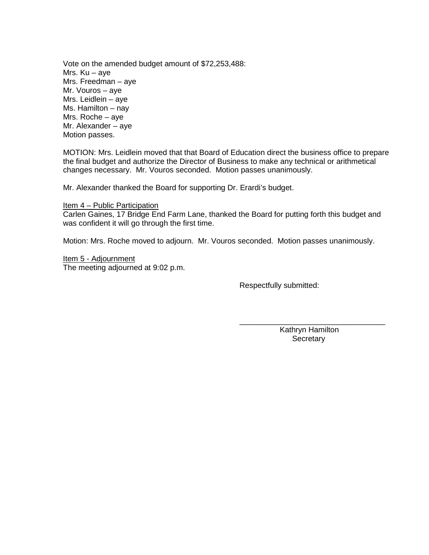Vote on the amended budget amount of \$72,253,488: Mrs. Ku – aye Mrs. Freedman – aye Mr. Vouros – aye Mrs. Leidlein – aye Ms. Hamilton – nay Mrs. Roche – aye Mr. Alexander – aye Motion passes.

MOTION: Mrs. Leidlein moved that that Board of Education direct the business office to prepare the final budget and authorize the Director of Business to make any technical or arithmetical changes necessary. Mr. Vouros seconded. Motion passes unanimously.

Mr. Alexander thanked the Board for supporting Dr. Erardi's budget.

Item 4 – Public Participation

Carlen Gaines, 17 Bridge End Farm Lane, thanked the Board for putting forth this budget and was confident it will go through the first time.

Motion: Mrs. Roche moved to adjourn. Mr. Vouros seconded. Motion passes unanimously.

Item 5 - Adjournment The meeting adjourned at 9:02 p.m.

Respectfully submitted:

\_\_\_\_\_\_\_\_\_\_\_\_\_\_\_\_\_\_\_\_\_\_\_\_\_\_\_\_\_\_\_\_\_\_ Kathryn Hamilton **Secretary**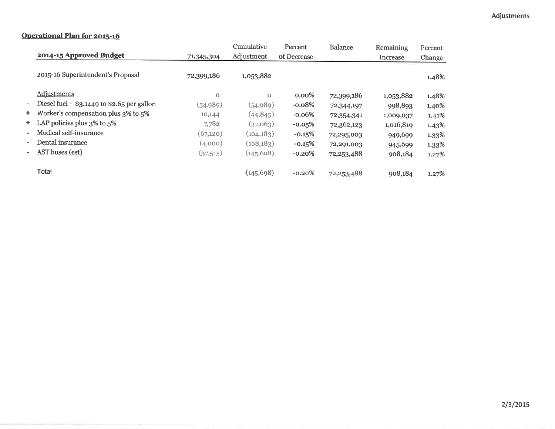## **Operational Plan for 2015-16**

|        |                                             |            | Cumulative | Percent     | <b>Balance</b> | Remaining | Percent<br>Change |  |
|--------|---------------------------------------------|------------|------------|-------------|----------------|-----------|-------------------|--|
|        | 2014-15 Approved Budget                     | 71,345,304 | Adjustment | of Decrease |                | Increase  |                   |  |
|        | 2015-16 Superintendent's Proposal           | 72,399,186 | 1,053,882  |             |                |           | 1.48%             |  |
|        | Adjustments                                 | $\Omega$   | $\Omega$   | $0.00\%$    | 72,399,186     | 1,053,882 | 1.48%             |  |
| ۰.     | Diesel fuel - \$3.1449 to \$2.65 per gallon | (54,989)   | (54, 989)  | $-0.08%$    | 72,344,197     | 998,893   | 1.40%             |  |
|        | + Worker's compensation plus 3% to 5%       | 10,144     | (44, 845)  | $-0.06%$    | 72,354,341     | 1,009,037 | 1.41%             |  |
|        | + LAP policies plus 3% to 5%                | 7,782      | (37,063)   | $-0.05%$    | 72,362,123     | 1,016,819 | 1.43%             |  |
| $\sim$ | Medical self-insurance                      | (67,120)   | (104, 183) | $-0.15%$    | 72,295,003     | 949,699   | 1.33%             |  |
| ۰.     | Dental insurance                            | (4,000)    | (108, 183) | $-0.15%$    | 72,291,003     | 945,699   | 1.33%             |  |
|        | - AST buses (est)                           | (37,515)   | (145, 698) | $-0.20%$    | 72,253,488     | 908,184   | 1.27%             |  |
|        | <b>Total</b>                                |            | (145, 698) | $-0.20%$    | 72,253,488     | 908,184   | 1.27%             |  |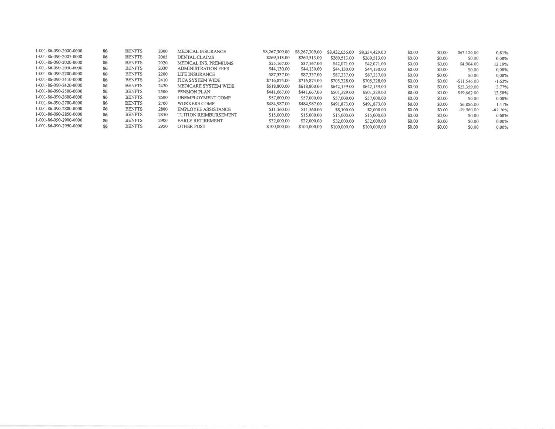| 1-001-86-090-2000-0000 | 86 | <b>BENFTS</b> | 2000 | MEDICAL INSURANCE          | \$8,267,309.00 | \$8,267,309.00 | \$8,432,656.00 | \$8,334,429.00 | \$0.00 | \$0.00 | \$67,120.00    | 0.81%     |
|------------------------|----|---------------|------|----------------------------|----------------|----------------|----------------|----------------|--------|--------|----------------|-----------|
| 1-001-86-090-2005-0000 | 86 | <b>BENFTS</b> | 2005 | DENTAL CLAIMS              | \$269,513.00   | \$269,513.00   | \$269,513.00   | \$269,513.00   | \$0,00 | \$0.00 | \$0.00         | 0.00%     |
| 1-001-86-090-2020-0000 | 86 | <b>BENFTS</b> | 2020 | MEDICAL INS. PREMIUMS      | \$55,167.00    | \$37,167.00    | \$42,071.00    | \$42,071.00    | \$0.00 | \$0.00 | \$4,904.00     | 13.19%    |
| 1-001-86-090-2030-0000 | 86 | <b>BENFTS</b> | 2030 | <b>ADMINISTRATION FEES</b> | \$44,130.00    | \$44,130.00    | \$44,130.00    | \$44,130.00    | \$0.00 | \$0,00 | \$0.00         | $0.00\%$  |
| 1-001-86-090-2200-0000 | 86 | <b>BENFTS</b> | 2200 | LIFE INSURANCE             | \$87,337.00    | \$87,337,00    | \$87,337.00    | \$87,337.00    | \$0.00 | \$0.00 | \$0.00         | 0.00%     |
| 1-001-86-090-2410-0000 | 86 | <b>BENFTS</b> | 2410 | FICA SYSTEM WIDE           | \$716,874.00   | \$716,874.00   | \$705.328.00   | \$705,328.00   | \$0,00 | \$0.00 | $-$11,546,00$  | $-1.62%$  |
| 1-001-86-090-2420-0000 | 86 | <b>BENFTS</b> | 2420 | MEDICARE SYSTEM WIDE       | \$618,800.00   | \$618,800.00   | \$642,159.00   | \$642,159.00   | \$0.00 | \$0.00 | \$23,359.00    | 3.77%     |
| 1-001-86-090-2500-0000 | 86 | <b>BENFTS</b> | 2500 | PENSION PLAN               | \$441,667.00   | \$441,667.00   | \$501,329.00   | \$501,329.00   | \$0.00 | \$0.00 | \$59,662.00    | 13.50%    |
| 1-001-86-090-2600-0000 | 86 | <b>BENFTS</b> | 2600 | UNEMPLOYMENT COMP.         | \$57,000.00    | \$57,000.00    | \$57,000.00    | \$57,000.00    | \$0.00 | \$0,00 | \$0.00         | 0.00%     |
| 1-C01-86-090-2700-0000 | 86 | <b>BENFTS</b> | 2700 | <b>WORKERS COMP.</b>       | \$484,987.00   | \$484,987.00   | \$491,873.00   | \$491,873.00   | \$0.00 | \$0.00 | \$6,886.00     | 1.41%     |
| 1-001-86-090-2800-0000 | 86 | <b>BENFTS</b> | 2800 | <b>EMPLOYEE ASSISTANCE</b> | \$11,560.00    | \$11,560.00    | \$8,100,00     | \$2,000.00     | \$0.00 | \$0.00 | $-$ \$9.560.00 | $-82.70%$ |
| 1-001-86-090-2850-0000 | 86 | <b>BENFTS</b> | 2850 | TUITION REIMBURSEMENT      | \$15,000.00    | \$15,000.00    | \$15,000.00    | \$15,000.00    | \$0.00 | \$0.00 | \$0.00         | 0.00%     |
| 1-001-86-090-2900-0000 | 86 | <b>BENFTS</b> | 2900 | <b>EARLY RETIREMENT</b>    | \$32,000.00    | \$32,000.00    | \$32,000.00    | \$32,000.00    | \$0,00 | \$0.00 | \$0.00         | 0.00%     |
| 1-001-86-090-2950-0000 | 86 | <b>BENFTS</b> | 2950 | <b>OTHER POST</b>          | \$100,000.00   | \$100,000.00   | \$100,000.00   | \$100.000.00   | \$0.00 | \$0.00 | \$0.00         | 0.00%     |
|                        |    |               |      |                            |                |                |                |                |        |        |                |           |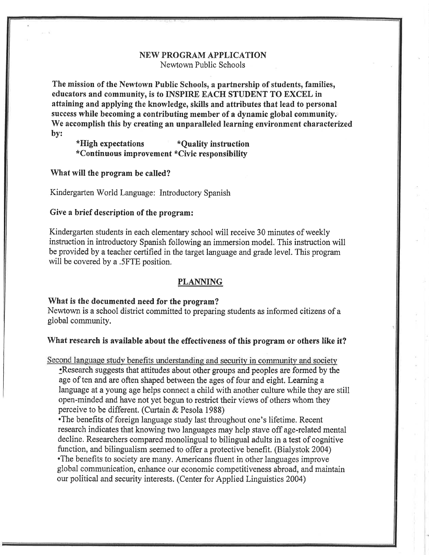## **NEW PROGRAM APPLICATION** Newtown Public Schools

The mission of the Newtown Public Schools, a partnership of students, families, educators and community, is to INSPIRE EACH STUDENT TO EXCEL in attaining and applying the knowledge, skills and attributes that lead to personal success while becoming a contributing member of a dynamic global community. We accomplish this by creating an unparalleled learning environment characterized by:

\*High expectations \*Ouality instruction \*Continuous improvement \*Civic responsibility

What will the program be called?

Kindergarten World Language: Introductory Spanish

## Give a brief description of the program:

Kindergarten students in each elementary school will receive 30 minutes of weekly instruction in introductory Spanish following an immersion model. This instruction will be provided by a teacher certified in the target language and grade level. This program will be covered by a .5FTE position.

#### **PLANNING**

#### What is the documented need for the program?

Newtown is a school district committed to preparing students as informed citizens of a global community.

#### What research is available about the effectiveness of this program or others like it?

Second language study benefits understanding and security in community and society •Research suggests that attitudes about other groups and peoples are formed by the age of ten and are often shaped between the ages of four and eight. Learning a language at a young age helps connect a child with another culture while they are still open-minded and have not yet begun to restrict their views of others whom they perceive to be different. (Curtain & Pesola 1988)

• The benefits of foreign language study last throughout one's lifetime. Recent research indicates that knowing two languages may help stave off age-related mental decline. Researchers compared monolingual to bilingual adults in a test of cognitive function, and bilingualism seemed to offer a protective benefit. (Bialystok 2004) •The benefits to society are many. Americans fluent in other languages improve global communication, enhance our economic competitiveness abroad, and maintain our political and security interests. (Center for Applied Linguistics 2004)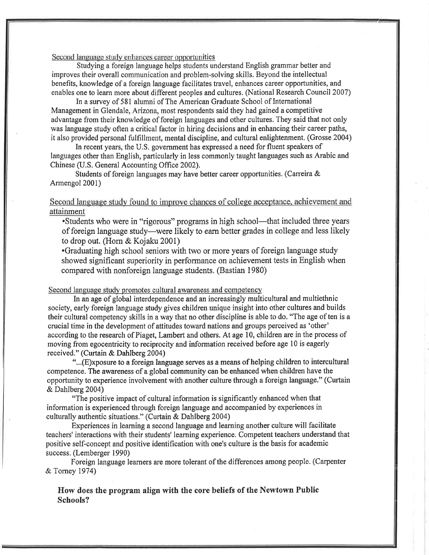Second language study enhances career opportunities

Studying a foreign language helps students understand English grammar better and improves their overall communication and problem-solving skills. Beyond the intellectual benefits, knowledge of a foreign language facilitates travel, enhances career opportunities, and enables one to learn more about different peoples and cultures. (National Research Council 2007)

In a survey of 581 alumni of The American Graduate School of International Management in Glendale, Arizona, most respondents said they had gained a competitive advantage from their knowledge of foreign languages and other cultures. They said that not only was language study often a critical factor in hiring decisions and in enhancing their career paths, it also provided personal fulfillment, mental discipline, and cultural enlightenment. (Grosse 2004)

In recent years, the U.S. government has expressed a need for fluent speakers of languages other than English, particularly in less commonly taught languages such as Arabic and Chinese (U.S. General Accounting Office 2002).

Students of foreign languages may have better career opportunities. (Carreira & Armengol 2001)

## Second language study found to improve chances of college acceptance, achievement and attainment

•Students who were in "rigorous" programs in high school—that included three years of foreign language study—were likely to earn better grades in college and less likely to drop out. (Horn & Kojaku 2001)

•Graduating high school seniors with two or more years of foreign language study showed significant superiority in performance on achievement tests in English when compared with nonforeign language students. (Bastian 1980)

#### Second language study promotes cultural awareness and competency

In an age of global interdependence and an increasingly multicultural and multiethnic society, early foreign language study gives children unique insight into other cultures and builds their cultural competency skills in a way that no other discipline is able to do. "The age of ten is a crucial time in the development of attitudes toward nations and groups perceived as 'other' according to the research of Piaget, Lambert and others. At age 10, children are in the process of moving from egocentricity to reciprocity and information received before age 10 is eagerly received." (Curtain & Dahlberg 2004)

"...(E)xposure to a foreign language serves as a means of helping children to intercultural competence. The awareness of a global community can be enhanced when children have the opportunity to experience involvement with another culture through a foreign language." (Curtain & Dahlberg 2004)

"The positive impact of cultural information is significantly enhanced when that information is experienced through foreign language and accompanied by experiences in culturally authentic situations." (Curtain & Dahlberg 2004)

Experiences in learning a second language and learning another culture will facilitate teachers' interactions with their students' learning experience. Competent teachers understand that positive self-concept and positive identification with one's culture is the basis for academic success. (Lemberger 1990)

Foreign language learners are more tolerant of the differences among people. (Carpenter & Torney 1974)

How does the program align with the core beliefs of the Newtown Public Schools?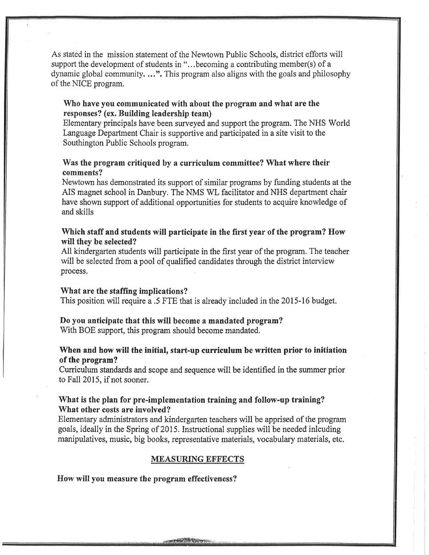As stated in the mission statement of the Newtown Public Schools, district efforts will support the development of students in "...becoming a contributing member(s) of a dynamic global community....". This program also aligns with the goals and philosophy of the NICE program.

## Who have you communicated with about the program and what are the responses? (ex. Building leadership team)

Elementary principals have been surveyed and support the program. The NHS World Language Department Chair is supportive and participated in a site visit to the Southington Public Schools program.

## Was the program critiqued by a curriculum committee? What where their comments?

Newtown has demonstrated its support of similar programs by funding students at the AIS magnet school in Danbury. The NMS WL facilitator and NHS department chair have shown support of additional opportunities for students to acquire knowledge of and skills

## Which staff and students will participate in the first year of the program? How will they be selected?

All kindergarten students will participate in the first year of the program. The teacher will be selected from a pool of qualified candidates through the district interview process.

#### What are the staffing implications?

This position will require a .5 FTE that is already included in the 2015-16 budget.

#### Do you anticipate that this will become a mandated program?

With BOE support, this program should become mandated.

## When and how will the initial, start-up curriculum be written prior to initiation of the program?

Curriculum standards and scope and sequence will be identified in the summer prior to Fall 2015, if not sooner.

## What is the plan for pre-implementation training and follow-up training? What other costs are involved?

Elementary administrators and kindergarten teachers will be apprised of the program goals, ideally in the Spring of 2015. Instructional supplies will be needed inlouding manipulatives, music, big books, representative materials, vocabulary materials, etc.

#### **MEASURING EFFECTS**

How will you measure the program effectiveness?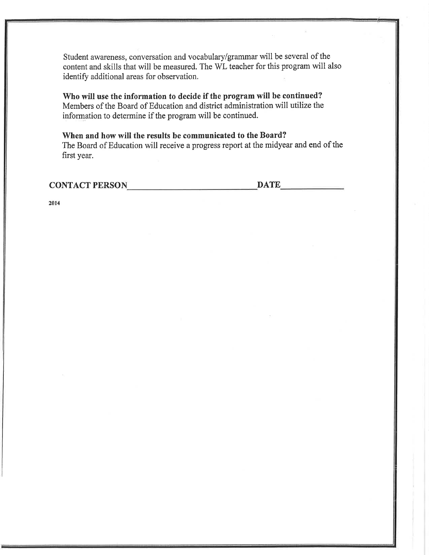Student awareness, conversation and vocabulary/grammar will be several of the content and skills that will be measured. The WL teacher for this program will also identify additional areas for observation.

Who will use the information to decide if the program will be continued? Members of the Board of Education and district administration will utilize the information to determine if the program will be continued.

When and how will the results be communicated to the Board? The Board of Education will receive a progress report at the midyear and end of the first year.

CONTACT PERSON DATE

2014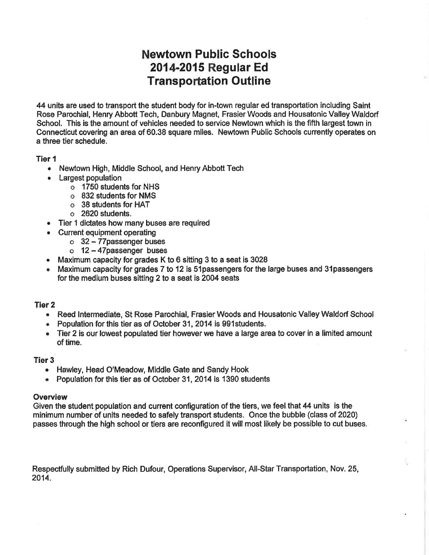# **Newtown Public Schools** 2014-2015 Regular Ed **Transportation Outline**

44 units are used to transport the student body for in-town regular ed transportation including Saint Rose Parochial, Henry Abbott Tech, Danbury Magnet, Frasier Woods and Housatonic Valley Waldorf School. This is the amount of vehicles needed to service Newtown which is the fifth largest town in Connecticut covering an area of 60.38 square miles. Newtown Public Schools currently operates on a three tier schedule.

## Tier 1

- Newtown High, Middle School, and Henry Abbott Tech
- Largest population
	- o 1750 students for NHS
	- o 832 students for NMS
	- o 38 students for HAT
	- $\circ$  2620 students.
- Tier 1 dictates how many buses are required
- Current equipment operating
	- $\circ$  32 77 passenger buses
	- $o$  12 47 passenger buses
- Maximum capacity for grades K to 6 sitting 3 to a seat is 3028
- Maximum capacity for grades 7 to 12 is 51 passengers for the large buses and 31 passengers for the medium buses sitting 2 to a seat is 2004 seats

## Tier 2

- Reed Intermediate, St Rose Parochial, Frasier Woods and Housatonic Valley Waldorf School
- Population for this tier as of October 31, 2014 is 991 students.
- Tier 2 is our lowest populated tier however we have a large area to cover in a limited amount of time.

## **Tier 3**

- Hawley, Head O'Meadow, Middle Gate and Sandy Hook
- Population for this tier as of October 31, 2014 is 1390 students

#### Overview

Given the student population and current configuration of the tiers, we feel that 44 units is the minimum number of units needed to safely transport students. Once the bubble (class of 2020) passes through the high school or tiers are reconfigured it will most likely be possible to cut buses.

Respectfully submitted by Rich Dufour, Operations Supervisor, All-Star Transportation, Nov. 25, 2014.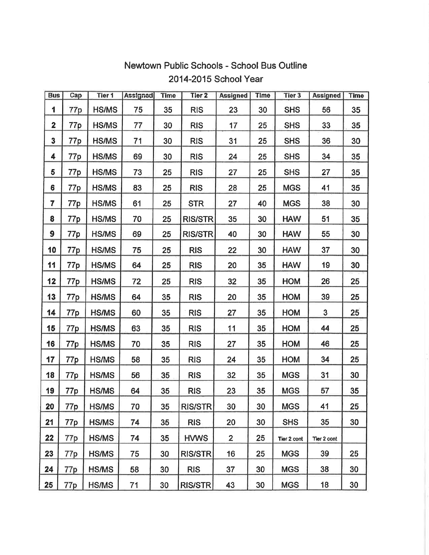| <b>Bus</b>              | Cap             | Tier 1       | <b>Assigned</b> | <b>Time</b> | Tier <sub>2</sub> | <b>Assigned</b> | <b>Time</b> | Tier 3      | <b>Assigned</b> | <b>Time</b> |
|-------------------------|-----------------|--------------|-----------------|-------------|-------------------|-----------------|-------------|-------------|-----------------|-------------|
| 1                       | 77p             | <b>HS/MS</b> | 75              | 35          | <b>RIS</b>        | 23              | 30          | <b>SHS</b>  | 56              | 35          |
| $\overline{\mathbf{2}}$ | 77p             | HS/MS        | 77              | 30          | <b>RIS</b>        | 17              | 25          | <b>SHS</b>  | 33              | 35          |
| 3                       | 77p             | <b>HS/MS</b> | 71              | 30          | <b>RIS</b>        | 31              | 25          | <b>SHS</b>  | 36              | 30          |
| 4                       | 77p             | <b>HS/MS</b> | 69              | 30          | <b>RIS</b>        | 24              | 25          | <b>SHS</b>  | 34              | 35          |
| 5                       | 77p             | <b>HS/MS</b> | 73              | 25          | <b>RIS</b>        | 27              | 25          | <b>SHS</b>  | 27              | 35          |
| 6                       | 77p             | <b>HS/MS</b> | 83              | 25          | <b>RIS</b>        | 28              | 25          | <b>MGS</b>  | 41              | 35          |
| 7                       | 77p             | <b>HS/MS</b> | 61              | 25          | <b>STR</b>        | 27              | 40          | <b>MGS</b>  | 38              | 30          |
| 8                       | 77p             | <b>HS/MS</b> | 70              | 25          | <b>RIS/STR</b>    | 35              | 30          | <b>HAW</b>  | 51              | 35          |
| 9                       | 77p             | <b>HS/MS</b> | 69              | 25          | <b>RIS/STR</b>    | 40              | 30          | <b>HAW</b>  | 55              | 30          |
| 10                      | 77 <sub>p</sub> | <b>HS/MS</b> | 75              | 25          | <b>RIS</b>        | 22              | 30          | <b>HAW</b>  | 37              | 30          |
| 11                      | 77p             | <b>HS/MS</b> | 64              | 25          | <b>RIS</b>        | 20              | 35          | <b>HAW</b>  | 19              | 30          |
| 12                      | 77 <sub>p</sub> | <b>HS/MS</b> | 72              | 25          | <b>RIS</b>        | 32              | 35          | <b>HOM</b>  | 26              | 25          |
| 13                      | 77p             | <b>HS/MS</b> | 64              | 35          | <b>RIS</b>        | 20              | 35          | HOM         | 39              | 25          |
| 14                      | 77p             | <b>HS/MS</b> | 60              | 35          | <b>RIS</b>        | 27              | 35          | <b>HOM</b>  | 3               | 25          |
| 15                      | 77p             | <b>HS/MS</b> | 63              | 35          | <b>RIS</b>        | 11              | 35          | HOM         | 44              | 25          |
| 16                      | 77 <sub>p</sub> | <b>HS/MS</b> | 70              | 35          | <b>RIS</b>        | 27              | 35          | HOM         | 46              | 25          |
| 17                      | 77p             | <b>HS/MS</b> | 58              | 35          | <b>RIS</b>        | 24              | 35          | HOM         | 34              | 25          |
| 18                      | 77 <sub>p</sub> | HS/MS        | 56              | 35          | <b>RIS</b>        | 32              | 35          | <b>MGS</b>  | 31              | 30          |
| 19                      | 77p             | HS/MS        | 64              | 35          | <b>RIS</b>        | 23              | 35          | <b>MGS</b>  | 57              | 35          |
| 20                      | 77p             | HS/MS        | 70              | 35          | <b>RIS/STR</b>    | 30              | 30          | <b>MGS</b>  | 41              | 25          |
| 21                      | 77p             | <b>HS/MS</b> | 74              | 35          | <b>RIS</b>        | 20              | 30          | <b>SHS</b>  | 35              | 30          |
| 22                      | 77p             | <b>HS/MS</b> | 74              | 35          | <b>HVWS</b>       | $\overline{2}$  | 25          | Tier 2 cont | Tier 2 cont     |             |
| 23                      | 77p             | HS/MS        | 75              | 30          | <b>RIS/STR</b>    | 16              | 25          | <b>MGS</b>  | 39              | 25          |
| 24                      | 77p             | HS/MS        | 58              | 30          | <b>RIS</b>        | 37              | 30          | <b>MGS</b>  | 38              | 30          |
| 25                      | 77p             | HS/MS        | 71              | 30          | <b>RIS/STR</b>    | 43              | 30          | <b>MGS</b>  | 18              | 30          |

## Newtown Public Schools - School Bus Outline 2014-2015 School Year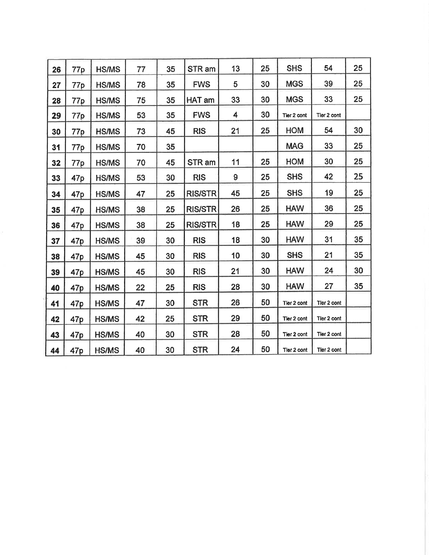| 26 | 77p             | <b>HS/MS</b> | 77 | 35 | STR am         | 13 | 25 | <b>SHS</b>  | 54          | 25 |
|----|-----------------|--------------|----|----|----------------|----|----|-------------|-------------|----|
| 27 | 77 <sub>p</sub> | <b>HS/MS</b> | 78 | 35 | <b>FWS</b>     | 5  | 30 | <b>MGS</b>  | 39          | 25 |
| 28 | 77 <sub>p</sub> | <b>HS/MS</b> | 75 | 35 | HAT am         | 33 | 30 | <b>MGS</b>  | 33          | 25 |
| 29 | 77 <sub>p</sub> | <b>HS/MS</b> | 53 | 35 | <b>FWS</b>     | 4  | 30 | Tier 2 cont | Tier 2 cont |    |
| 30 | 77p             | <b>HS/MS</b> | 73 | 45 | <b>RIS</b>     | 21 | 25 | HOM         | 54          | 30 |
| 31 | 77p             | <b>HS/MS</b> | 70 | 35 |                |    |    | <b>MAG</b>  | 33          | 25 |
| 32 | 77 <sub>p</sub> | <b>HS/MS</b> | 70 | 45 | STR am         | 11 | 25 | <b>HOM</b>  | 30          | 25 |
| 33 | 47 <sub>p</sub> | <b>HS/MS</b> | 53 | 30 | <b>RIS</b>     | 9  | 25 | <b>SHS</b>  | 42          | 25 |
| 34 | 47p             | HS/MS        | 47 | 25 | <b>RIS/STR</b> | 45 | 25 | <b>SHS</b>  | 19          | 25 |
| 35 | 47p             | HS/MS        | 38 | 25 | <b>RIS/STR</b> | 26 | 25 | <b>HAW</b>  | 36          | 25 |
| 36 | 47 <sub>p</sub> | <b>HS/MS</b> | 38 | 25 | <b>RIS/STR</b> | 18 | 25 | <b>HAW</b>  | 29          | 25 |
| 37 | 47 <sub>p</sub> | <b>HS/MS</b> | 39 | 30 | <b>RIS</b>     | 18 | 30 | <b>HAW</b>  | 31          | 35 |
| 38 | 47 <sub>p</sub> | <b>HS/MS</b> | 45 | 30 | <b>RIS</b>     | 10 | 30 | <b>SHS</b>  | 21          | 35 |
| 39 | 47p             | <b>HS/MS</b> | 45 | 30 | <b>RIS</b>     | 21 | 30 | <b>HAW</b>  | 24          | 30 |
| 40 | 47 <sub>p</sub> | HS/MS        | 22 | 25 | <b>RIS</b>     | 28 | 30 | <b>HAW</b>  | 27          | 35 |
| 41 | 47 <sub>p</sub> | <b>HS/MS</b> | 47 | 30 | <b>STR</b>     | 26 | 50 | Tier 2 cont | Tler 2 cont |    |
| 42 | 47 <sub>p</sub> | HS/MS        | 42 | 25 | <b>STR</b>     | 29 | 50 | Tier 2 cont | Tier 2 cont |    |
| 43 | 47 <sub>p</sub> | <b>HS/MS</b> | 40 | 30 | <b>STR</b>     | 28 | 50 | Tier 2 cont | Tier 2 cont |    |
| 44 | 47p             | <b>HS/MS</b> | 40 | 30 | <b>STR</b>     | 24 | 50 | Tier 2 cont | Tier 2 cont |    |